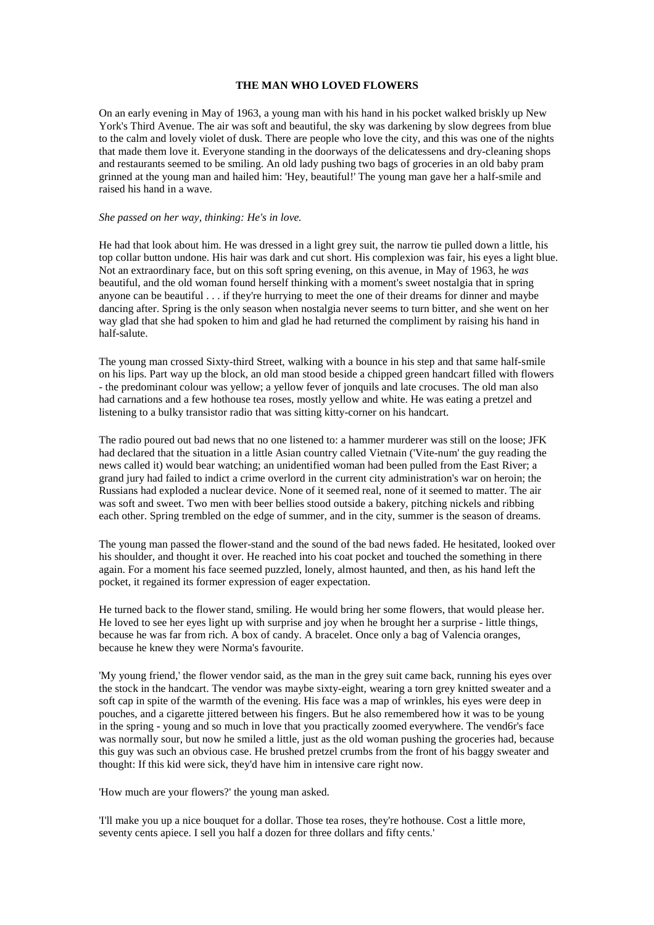## **THE MAN WHO LOVED FLOWERS**

On an early evening in May of 1963, a young man with his hand in his pocket walked briskly up New York's Third Avenue. The air was soft and beautiful, the sky was darkening by slow degrees from blue to the calm and lovely violet of dusk. There are people who love the city, and this was one of the nights that made them love it. Everyone standing in the doorways of the delicatessens and dry-cleaning shops and restaurants seemed to be smiling. An old lady pushing two bags of groceries in an old baby pram grinned at the young man and hailed him: 'Hey, beautiful!' The young man gave her a half-smile and raised his hand in a wave.

## *She passed on her way, thinking: He's in love.*

He had that look about him. He was dressed in a light grey suit, the narrow tie pulled down a little, his top collar button undone. His hair was dark and cut short. His complexion was fair, his eyes a light blue. Not an extraordinary face, but on this soft spring evening, on this avenue, in May of 1963, he *was*  beautiful, and the old woman found herself thinking with a moment's sweet nostalgia that in spring anyone can be beautiful . . . if they're hurrying to meet the one of their dreams for dinner and maybe dancing after. Spring is the only season when nostalgia never seems to turn bitter, and she went on her way glad that she had spoken to him and glad he had returned the compliment by raising his hand in half-salute.

The young man crossed Sixty-third Street, walking with a bounce in his step and that same half-smile on his lips. Part way up the block, an old man stood beside a chipped green handcart filled with flowers - the predominant colour was yellow; a yellow fever of jonquils and late crocuses. The old man also had carnations and a few hothouse tea roses, mostly yellow and white. He was eating a pretzel and listening to a bulky transistor radio that was sitting kitty-corner on his handcart.

The radio poured out bad news that no one listened to: a hammer murderer was still on the loose; JFK had declared that the situation in a little Asian country called Vietnain ('Vite-num' the guy reading the news called it) would bear watching; an unidentified woman had been pulled from the East River; a grand jury had failed to indict a crime overlord in the current city administration's war on heroin; the Russians had exploded a nuclear device. None of it seemed real, none of it seemed to matter. The air was soft and sweet. Two men with beer bellies stood outside a bakery, pitching nickels and ribbing each other. Spring trembled on the edge of summer, and in the city, summer is the season of dreams.

The young man passed the flower-stand and the sound of the bad news faded. He hesitated, looked over his shoulder, and thought it over. He reached into his coat pocket and touched the something in there again. For a moment his face seemed puzzled, lonely, almost haunted, and then, as his hand left the pocket, it regained its former expression of eager expectation.

He turned back to the flower stand, smiling. He would bring her some flowers, that would please her. He loved to see her eyes light up with surprise and joy when he brought her a surprise - little things, because he was far from rich. A box of candy. A bracelet. Once only a bag of Valencia oranges, because he knew they were Norma's favourite.

'My young friend,' the flower vendor said, as the man in the grey suit came back, running his eyes over the stock in the handcart. The vendor was maybe sixty-eight, wearing a torn grey knitted sweater and a soft cap in spite of the warmth of the evening. His face was a map of wrinkles, his eyes were deep in pouches, and a cigarette jittered between his fingers. But he also remembered how it was to be young in the spring - young and so much in love that you practically zoomed everywhere. The vend6r's face was normally sour, but now he smiled a little, just as the old woman pushing the groceries had, because this guy was such an obvious case. He brushed pretzel crumbs from the front of his baggy sweater and thought: If this kid were sick, they'd have him in intensive care right now.

'How much are your flowers?' the young man asked.

'I'll make you up a nice bouquet for a dollar. Those tea roses, they're hothouse. Cost a little more, seventy cents apiece. I sell you half a dozen for three dollars and fifty cents.'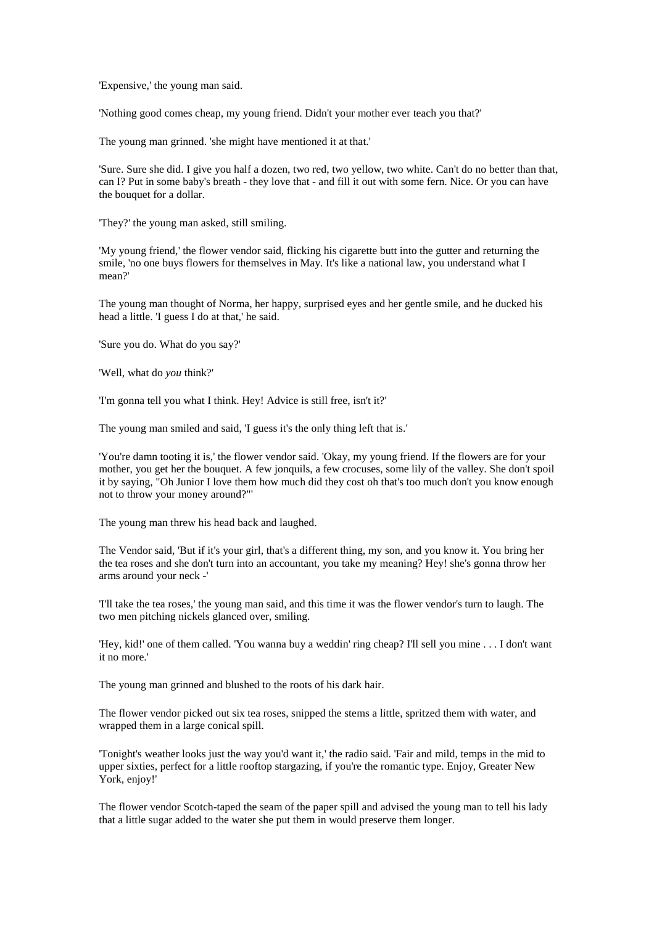'Expensive,' the young man said.

'Nothing good comes cheap, my young friend. Didn't your mother ever teach you that?'

The young man grinned. 'she might have mentioned it at that.'

'Sure. Sure she did. I give you half a dozen, two red, two yellow, two white. Can't do no better than that, can I? Put in some baby's breath - they love that - and fill it out with some fern. Nice. Or you can have the bouquet for a dollar.

'They?' the young man asked, still smiling.

'My young friend,' the flower vendor said, flicking his cigarette butt into the gutter and returning the smile, 'no one buys flowers for themselves in May. It's like a national law, you understand what I mean?'

The young man thought of Norma, her happy, surprised eyes and her gentle smile, and he ducked his head a little. 'I guess I do at that,' he said.

'Sure you do. What do you say?'

'Well, what do *you* think?'

'I'm gonna tell you what I think. Hey! Advice is still free, isn't it?'

The young man smiled and said, 'I guess it's the only thing left that is.'

'You're damn tooting it is,' the flower vendor said. 'Okay, my young friend. If the flowers are for your mother, you get her the bouquet. A few jonquils, a few crocuses, some lily of the valley. She don't spoil it by saying, "Oh Junior I love them how much did they cost oh that's too much don't you know enough not to throw your money around?"'

The young man threw his head back and laughed.

The Vendor said, 'But if it's your girl, that's a different thing, my son, and you know it. You bring her the tea roses and she don't turn into an accountant, you take my meaning? Hey! she's gonna throw her arms around your neck -'

'I'll take the tea roses,' the young man said, and this time it was the flower vendor's turn to laugh. The two men pitching nickels glanced over, smiling.

'Hey, kid!' one of them called. 'You wanna buy a weddin' ring cheap? I'll sell you mine . . . I don't want it no more.'

The young man grinned and blushed to the roots of his dark hair.

The flower vendor picked out six tea roses, snipped the stems a little, spritzed them with water, and wrapped them in a large conical spill.

'Tonight's weather looks just the way you'd want it,' the radio said. 'Fair and mild, temps in the mid to upper sixties, perfect for a little rooftop stargazing, if you're the romantic type. Enjoy, Greater New York, enjoy!'

The flower vendor Scotch-taped the seam of the paper spill and advised the young man to tell his lady that a little sugar added to the water she put them in would preserve them longer.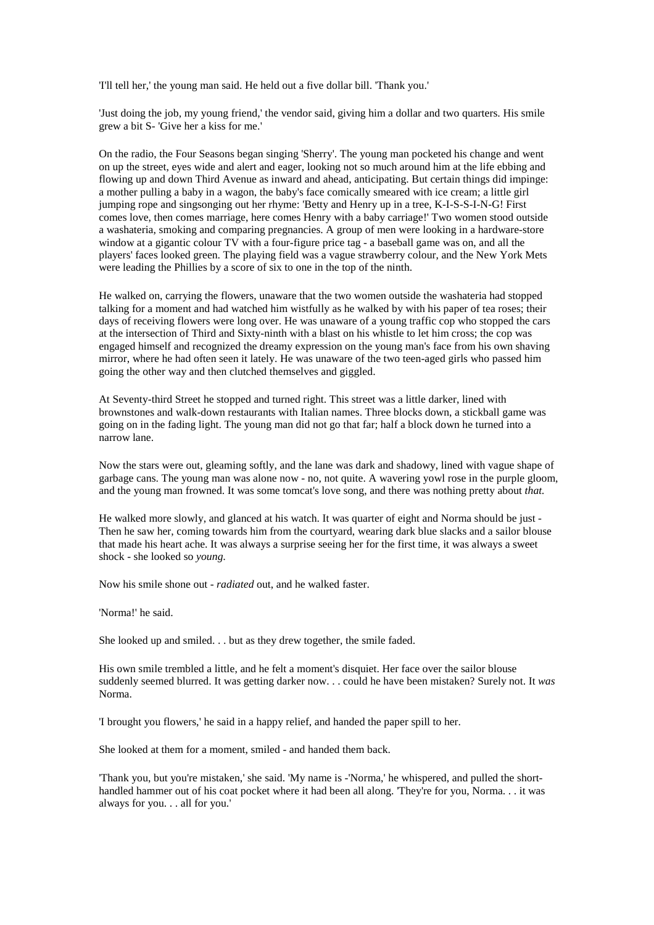'I'll tell her,' the young man said. He held out a five dollar bill. 'Thank you.'

'Just doing the job, my young friend,' the vendor said, giving him a dollar and two quarters. His smile grew a bit S- 'Give her a kiss for me.'

On the radio, the Four Seasons began singing 'Sherry'. The young man pocketed his change and went on up the street, eyes wide and alert and eager, looking not so much around him at the life ebbing and flowing up and down Third Avenue as inward and ahead, anticipating. But certain things did impinge: a mother pulling a baby in a wagon, the baby's face comically smeared with ice cream; a little girl jumping rope and singsonging out her rhyme: 'Betty and Henry up in a tree, K-I-S-S-I-N-G! First comes love, then comes marriage, here comes Henry with a baby carriage!' Two women stood outside a washateria, smoking and comparing pregnancies. A group of men were looking in a hardware-store window at a gigantic colour TV with a four-figure price tag - a baseball game was on, and all the players' faces looked green. The playing field was a vague strawberry colour, and the New York Mets were leading the Phillies by a score of six to one in the top of the ninth.

He walked on, carrying the flowers, unaware that the two women outside the washateria had stopped talking for a moment and had watched him wistfully as he walked by with his paper of tea roses; their days of receiving flowers were long over. He was unaware of a young traffic cop who stopped the cars at the intersection of Third and Sixty-ninth with a blast on his whistle to let him cross; the cop was engaged himself and recognized the dreamy expression on the young man's face from his own shaving mirror, where he had often seen it lately. He was unaware of the two teen-aged girls who passed him going the other way and then clutched themselves and giggled.

At Seventy-third Street he stopped and turned right. This street was a little darker, lined with brownstones and walk-down restaurants with Italian names. Three blocks down, a stickball game was going on in the fading light. The young man did not go that far; half a block down he turned into a narrow lane.

Now the stars were out, gleaming softly, and the lane was dark and shadowy, lined with vague shape of garbage cans. The young man was alone now - no, not quite. A wavering yowl rose in the purple gloom, and the young man frowned. It was some tomcat's love song, and there was nothing pretty about *that.* 

He walked more slowly, and glanced at his watch. It was quarter of eight and Norma should be just - Then he saw her, coming towards him from the courtyard, wearing dark blue slacks and a sailor blouse that made his heart ache. It was always a surprise seeing her for the first time, it was always a sweet shock - she looked so *young.* 

Now his smile shone out - *radiated* out, and he walked faster.

'Norma!' he said.

She looked up and smiled. . . but as they drew together, the smile faded.

His own smile trembled a little, and he felt a moment's disquiet. Her face over the sailor blouse suddenly seemed blurred. It was getting darker now. . . could he have been mistaken? Surely not. It *was*  Norma.

'I brought you flowers,' he said in a happy relief, and handed the paper spill to her.

She looked at them for a moment, smiled - and handed them back.

'Thank you, but you're mistaken,' she said. 'My name is -'Norma,' he whispered, and pulled the shorthandled hammer out of his coat pocket where it had been all along. 'They're for you, Norma. . . it was always for you. . . all for you.'